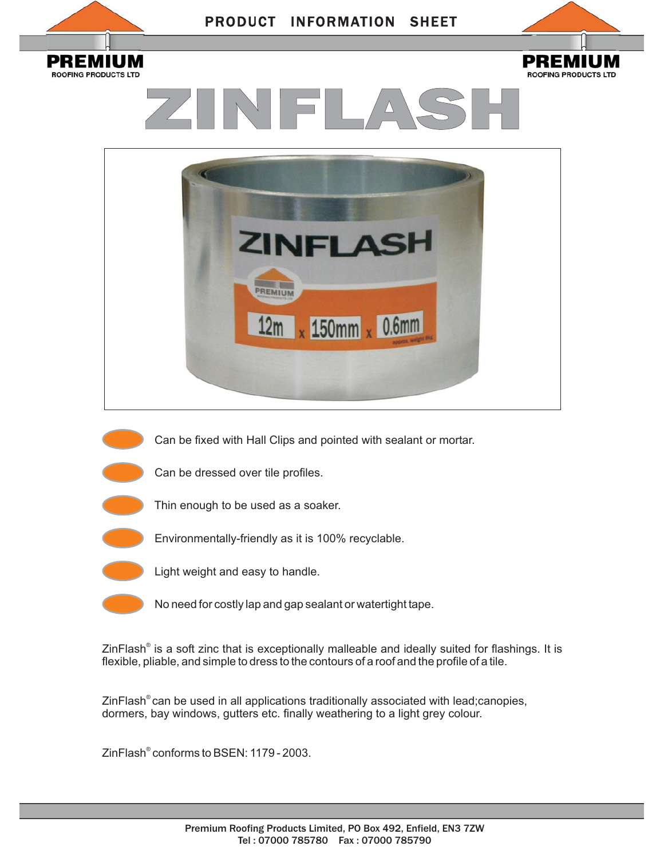

ZinFlash® is a soft zinc that is exceptionally malleable and ideally suited for flashings. It is flexible, pliable, and simple to dress to the contours of a roof and the profile of a tile.

ZinFlash® can be used in all applications traditionally associated with lead;canopies, dormers, bay windows, gutters etc. finally weathering to a light grey colour.

ZinFlash® conforms to BSEN: 1179 - 2003.